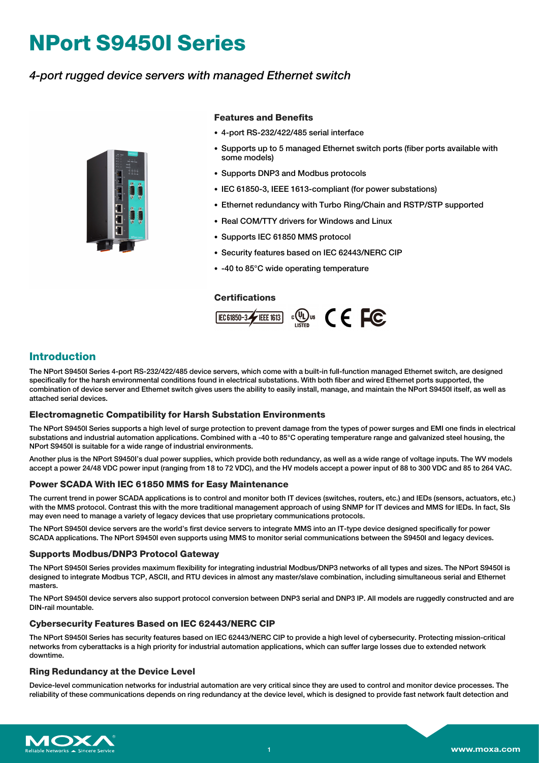# **NPort S9450I Series**

## *4-port rugged device servers with managed Ethernet switch*



#### **Features and Benefits**

- 4-port RS-232/422/485 serial interface
- Supports up to 5 managed Ethernet switch ports (fiber ports available with some models)
- Supports DNP3 and Modbus protocols
- IEC 61850-3, IEEE 1613-compliant (for power substations)
- Ethernet redundancy with Turbo Ring/Chain and RSTP/STP supported
- Real COM/TTY drivers for Windows and Linux
- Supports IEC 61850 MMS protocol
- Security features based on IEC 62443/NERC CIP
- -40 to 85°C wide operating temperature

#### **Certifications**



## **Introduction**

The NPort S9450I Series 4-port RS-232/422/485 device servers, which come with a built-in full-function managed Ethernet switch, are designed specifically for the harsh environmental conditions found in electrical substations. With both fiber and wired Ethernet ports supported, the combination of device server and Ethernet switch gives users the ability to easily install, manage, and maintain the NPort S9450I itself, as well as attached serial devices.

#### **Electromagnetic Compatibility for Harsh Substation Environments**

The NPort S9450I Series supports a high level of surge protection to prevent damage from the types of power surges and EMI one finds in electrical substations and industrial automation applications. Combined with a -40 to 85°C operating temperature range and galvanized steel housing, the NPort S9450I is suitable for a wide range of industrial environments.

Another plus is the NPort S9450I's dual power supplies, which provide both redundancy, as well as a wide range of voltage inputs. The WV models accept a power 24/48 VDC power input (ranging from 18 to 72 VDC), and the HV models accept a power input of 88 to 300 VDC and 85 to 264 VAC.

#### **Power SCADA With IEC 61850 MMS for Easy Maintenance**

The current trend in power SCADA applications is to control and monitor both IT devices (switches, routers, etc.) and IEDs (sensors, actuators, etc.) with the MMS protocol. Contrast this with the more traditional management approach of using SNMP for IT devices and MMS for IEDs. In fact, SIs may even need to manage a variety of legacy devices that use proprietary communications protocols.

The NPort S9450I device servers are the world's first device servers to integrate MMS into an IT-type device designed specifically for power SCADA applications. The NPort S9450I even supports using MMS to monitor serial communications between the S9450I and legacy devices.

#### **Supports Modbus/DNP3 Protocol Gateway**

The NPort S9450I Series provides maximum flexibility for integrating industrial Modbus/DNP3 networks of all types and sizes. The NPort S9450I is designed to integrate Modbus TCP, ASCII, and RTU devices in almost any master/slave combination, including simultaneous serial and Ethernet masters.

The NPort S9450I device servers also support protocol conversion between DNP3 serial and DNP3 IP. All models are ruggedly constructed and are DIN-rail mountable.

#### **Cybersecurity Features Based on IEC 62443/NERC CIP**

The NPort S9450I Series has security features based on IEC 62443/NERC CIP to provide a high level of cybersecurity. Protecting mission-critical networks from cyberattacks is a high priority for industrial automation applications, which can suffer large losses due to extended network downtime.

#### **Ring Redundancy at the Device Level**

Device-level communication networks for industrial automation are very critical since they are used to control and monitor device processes. The reliability of these communications depends on ring redundancy at the device level, which is designed to provide fast network fault detection and

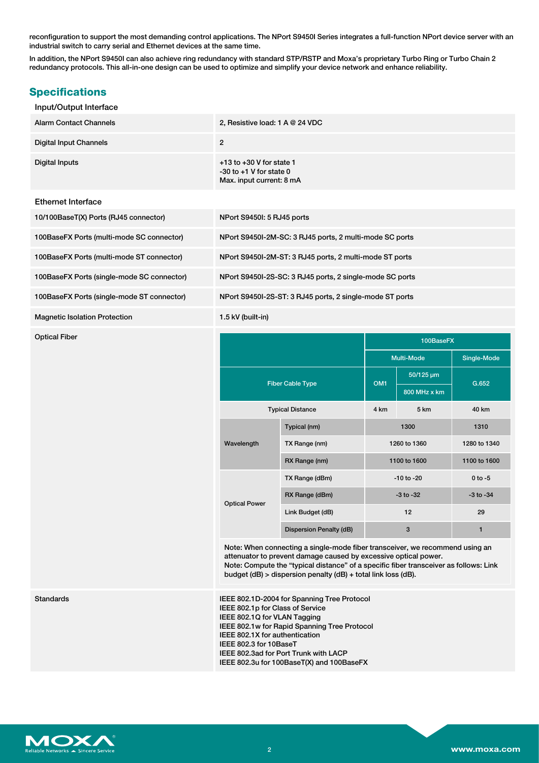reconfiguration to support the most demanding control applications. The NPort S9450I Series integrates a full-function NPort device server with an industrial switch to carry serial and Ethernet devices at the same time.

In addition, the NPort S9450I can also achieve ring redundancy with standard STP/RSTP and Moxa's proprietary Turbo Ring or Turbo Chain 2 redundancy protocols. This all-in-one design can be used to optimize and simplify your device network and enhance reliability.

## **Specifications**

#### Input/Output Interface

| <b>Alarm Contact Channels</b> | 2, Resistive load: $1 A @ 24 VDC$                                                       |
|-------------------------------|-----------------------------------------------------------------------------------------|
| <b>Digital Input Channels</b> | 2                                                                                       |
| Digital Inputs                | $+13$ to $+30$ V for state 1<br>$-30$ to $+1$ V for state 0<br>Max. input current: 8 mA |

#### Ethernet Interface

| 10/100BaseT(X) Ports (RJ45 connector) | NPort S94501: 5 RJ45 ports |
|---------------------------------------|----------------------------|
|                                       |                            |

100BaseFX Ports (multi-mode SC connector)

100BaseFX Ports (multi-mode ST connector)

100BaseFX Ports (single-mode SC connector)

100BaseFX Ports (single-mode ST connector)

Magnetic Isolation Protection

| NPort S94501: 5 RJ45 ports                               |
|----------------------------------------------------------|
| NPort S9450I-2M-SC: 3 RJ45 ports, 2 multi-mode SC ports  |
| NPort S9450I-2M-ST: 3 RJ45 ports, 2 multi-mode ST ports  |
| NPort S9450I-2S-SC: 3 RJ45 ports, 2 single-mode SC ports |
| NPort S9450I-2S-ST: 3 RJ45 ports, 2 single-mode ST ports |
| 1.5 kV (built-in)                                        |

| <b>Optical Fiber</b> |                         |                         |                 | 100BaseFX    |               |
|----------------------|-------------------------|-------------------------|-----------------|--------------|---------------|
|                      |                         |                         |                 | Multi-Mode   | Single-Mode   |
|                      | <b>Fiber Cable Type</b> |                         | OM <sub>1</sub> | 50/125 µm    | G.652         |
|                      |                         |                         |                 | 800 MHz x km |               |
|                      | <b>Typical Distance</b> |                         | 4 km            | 5 km         | 40 km         |
|                      | Wavelength              | Typical (nm)            | 1300            |              | 1310          |
|                      |                         | TX Range (nm)           | 1260 to 1360    |              | 1280 to 1340  |
|                      |                         | RX Range (nm)           | 1100 to 1600    |              | 1100 to 1600  |
|                      | <b>Optical Power</b>    | TX Range (dBm)          | $-10$ to $-20$  |              | $0$ to $-5$   |
|                      |                         | RX Range (dBm)          | $-3$ to $-32$   |              | $-3$ to $-34$ |
|                      |                         | Link Budget (dB)        | 12              |              | 29            |
|                      |                         | Dispersion Penalty (dB) |                 | 3            | 1             |

Note: When connecting a single-mode fiber transceiver, we recommend using an attenuator to prevent damage caused by excessive optical power. Note: Compute the "typical distance" of a specific fiber transceiver as follows: Link budget (dB) > dispersion penalty (dB) + total link loss (dB).

Standards **IEEE 802.1D-2004 for Spanning Tree Protocol** IEEE 802.1p for Class of Service IEEE 802.1Q for VLAN Tagging IEEE 802.1w for Rapid Spanning Tree Protocol IEEE 802.1X for authentication IEEE 802.3 for 10BaseT IEEE 802.3ad for Port Trunk with LACP IEEE 802.3u for 100BaseT(X) and 100BaseFX

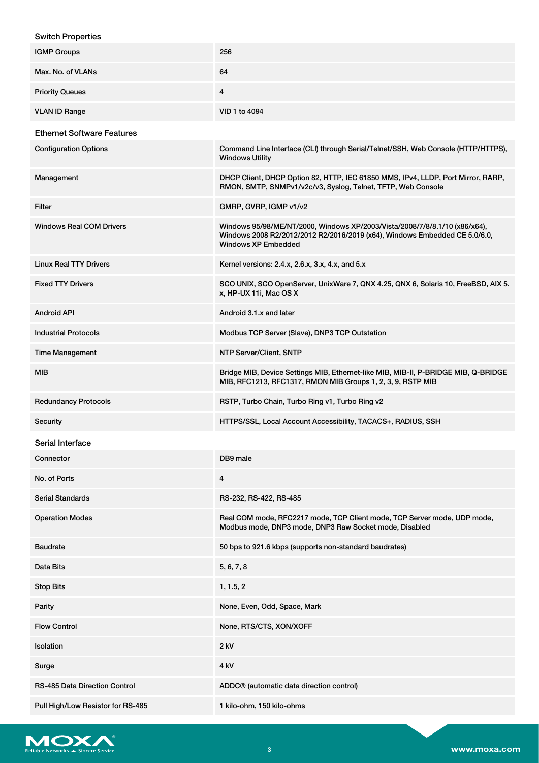### Switch Properties

| <b>IGMP Groups</b>                   | 256                                                                                                                                                                             |
|--------------------------------------|---------------------------------------------------------------------------------------------------------------------------------------------------------------------------------|
| Max. No. of VLANs                    | 64                                                                                                                                                                              |
| <b>Priority Queues</b>               | 4                                                                                                                                                                               |
| <b>VLAN ID Range</b>                 | VID 1 to 4094                                                                                                                                                                   |
| <b>Ethernet Software Features</b>    |                                                                                                                                                                                 |
| <b>Configuration Options</b>         | Command Line Interface (CLI) through Serial/Telnet/SSH, Web Console (HTTP/HTTPS),<br><b>Windows Utility</b>                                                                     |
| Management                           | DHCP Client, DHCP Option 82, HTTP, IEC 61850 MMS, IPv4, LLDP, Port Mirror, RARP,<br>RMON, SMTP, SNMPv1/v2c/v3, Syslog, Telnet, TFTP, Web Console                                |
| Filter                               | GMRP, GVRP, IGMP v1/v2                                                                                                                                                          |
| <b>Windows Real COM Drivers</b>      | Windows 95/98/ME/NT/2000, Windows XP/2003/Vista/2008/7/8/8.1/10 (x86/x64),<br>Windows 2008 R2/2012/2012 R2/2016/2019 (x64), Windows Embedded CE 5.0/6.0,<br>Windows XP Embedded |
| <b>Linux Real TTY Drivers</b>        | Kernel versions: 2.4.x, 2.6.x, 3.x, 4.x, and 5.x                                                                                                                                |
| <b>Fixed TTY Drivers</b>             | SCO UNIX, SCO OpenServer, UnixWare 7, QNX 4.25, QNX 6, Solaris 10, FreeBSD, AIX 5.<br>x, HP-UX 11i, Mac OS X                                                                    |
| <b>Android API</b>                   | Android 3.1.x and later                                                                                                                                                         |
| <b>Industrial Protocols</b>          | Modbus TCP Server (Slave), DNP3 TCP Outstation                                                                                                                                  |
| <b>Time Management</b>               | NTP Server/Client, SNTP                                                                                                                                                         |
| <b>MIB</b>                           | Bridge MIB, Device Settings MIB, Ethernet-like MIB, MIB-II, P-BRIDGE MIB, Q-BRIDGE<br>MIB, RFC1213, RFC1317, RMON MIB Groups 1, 2, 3, 9, RSTP MIB                               |
| <b>Redundancy Protocols</b>          | RSTP, Turbo Chain, Turbo Ring v1, Turbo Ring v2                                                                                                                                 |
| Security                             | HTTPS/SSL, Local Account Accessibility, TACACS+, RADIUS, SSH                                                                                                                    |
| Serial Interface                     |                                                                                                                                                                                 |
| Connector                            | DB9 male                                                                                                                                                                        |
| No. of Ports                         | 4                                                                                                                                                                               |
| <b>Serial Standards</b>              | RS-232, RS-422, RS-485                                                                                                                                                          |
| <b>Operation Modes</b>               | Real COM mode, RFC2217 mode, TCP Client mode, TCP Server mode, UDP mode,<br>Modbus mode, DNP3 mode, DNP3 Raw Socket mode, Disabled                                              |
| <b>Baudrate</b>                      | 50 bps to 921.6 kbps (supports non-standard baudrates)                                                                                                                          |
| Data Bits                            | 5, 6, 7, 8                                                                                                                                                                      |
| <b>Stop Bits</b>                     | 1, 1.5, 2                                                                                                                                                                       |
| Parity                               | None, Even, Odd, Space, Mark                                                                                                                                                    |
| <b>Flow Control</b>                  | None, RTS/CTS, XON/XOFF                                                                                                                                                         |
| Isolation                            | 2 kV                                                                                                                                                                            |
| Surge                                | 4 kV                                                                                                                                                                            |
| <b>RS-485 Data Direction Control</b> | ADDC <sup>®</sup> (automatic data direction control)                                                                                                                            |
| Pull High/Low Resistor for RS-485    | 1 kilo-ohm, 150 kilo-ohms                                                                                                                                                       |

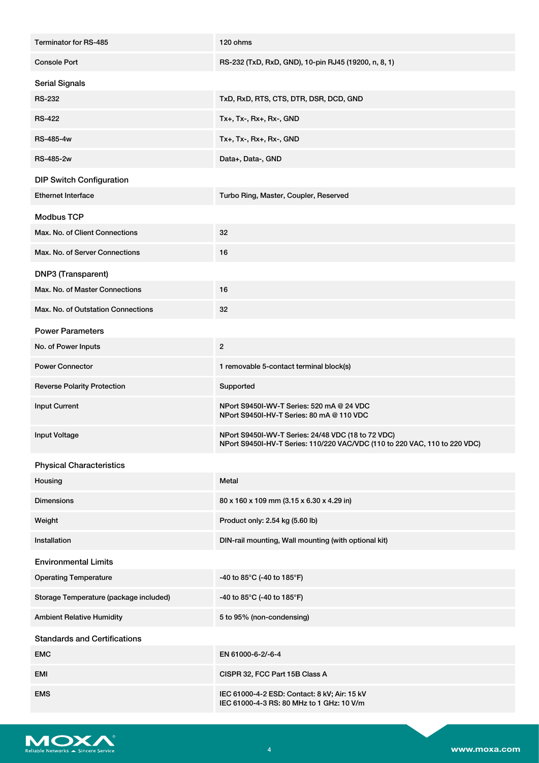| Terminator for RS-485                  | 120 ohms                                                                                                                         |
|----------------------------------------|----------------------------------------------------------------------------------------------------------------------------------|
| <b>Console Port</b>                    | RS-232 (TxD, RxD, GND), 10-pin RJ45 (19200, n, 8, 1)                                                                             |
| <b>Serial Signals</b>                  |                                                                                                                                  |
| <b>RS-232</b>                          | TxD, RxD, RTS, CTS, DTR, DSR, DCD, GND                                                                                           |
| <b>RS-422</b>                          | Tx+, Tx-, Rx+, Rx-, GND                                                                                                          |
| <b>RS-485-4w</b>                       | Tx+, Tx-, Rx+, Rx-, GND                                                                                                          |
| <b>RS-485-2w</b>                       | Data+, Data-, GND                                                                                                                |
| <b>DIP Switch Configuration</b>        |                                                                                                                                  |
| <b>Ethernet Interface</b>              | Turbo Ring, Master, Coupler, Reserved                                                                                            |
| <b>Modbus TCP</b>                      |                                                                                                                                  |
| Max. No. of Client Connections         | 32                                                                                                                               |
| Max. No. of Server Connections         | 16                                                                                                                               |
| DNP3 (Transparent)                     |                                                                                                                                  |
| Max. No. of Master Connections         | 16                                                                                                                               |
| Max. No. of Outstation Connections     | 32                                                                                                                               |
| <b>Power Parameters</b>                |                                                                                                                                  |
| No. of Power Inputs                    | $\overline{2}$                                                                                                                   |
| <b>Power Connector</b>                 | 1 removable 5-contact terminal block(s)                                                                                          |
| <b>Reverse Polarity Protection</b>     | Supported                                                                                                                        |
| <b>Input Current</b>                   | NPort S9450I-WV-T Series: 520 mA @ 24 VDC<br>NPort S9450I-HV-T Series: 80 mA @ 110 VDC                                           |
| <b>Input Voltage</b>                   | NPort S9450I-WV-T Series: 24/48 VDC (18 to 72 VDC)<br>NPort S9450I-HV-T Series: 110/220 VAC/VDC (110 to 220 VAC, 110 to 220 VDC) |
| <b>Physical Characteristics</b>        |                                                                                                                                  |
| Housing                                | Metal                                                                                                                            |
| <b>Dimensions</b>                      | 80 x 160 x 109 mm (3.15 x 6.30 x 4.29 in)                                                                                        |
| Weight                                 | Product only: 2.54 kg (5.60 lb)                                                                                                  |
| Installation                           | DIN-rail mounting, Wall mounting (with optional kit)                                                                             |
| <b>Environmental Limits</b>            |                                                                                                                                  |
| <b>Operating Temperature</b>           | -40 to 85°C (-40 to 185°F)                                                                                                       |
| Storage Temperature (package included) | -40 to 85°C (-40 to 185°F)                                                                                                       |
| <b>Ambient Relative Humidity</b>       | 5 to 95% (non-condensing)                                                                                                        |
| <b>Standards and Certifications</b>    |                                                                                                                                  |
| <b>EMC</b>                             | EN 61000-6-2/-6-4                                                                                                                |
| <b>EMI</b>                             | CISPR 32, FCC Part 15B Class A                                                                                                   |
| <b>EMS</b>                             | IEC 61000-4-2 ESD: Contact: 8 kV; Air: 15 kV<br>IEC 61000-4-3 RS: 80 MHz to 1 GHz: 10 V/m                                        |

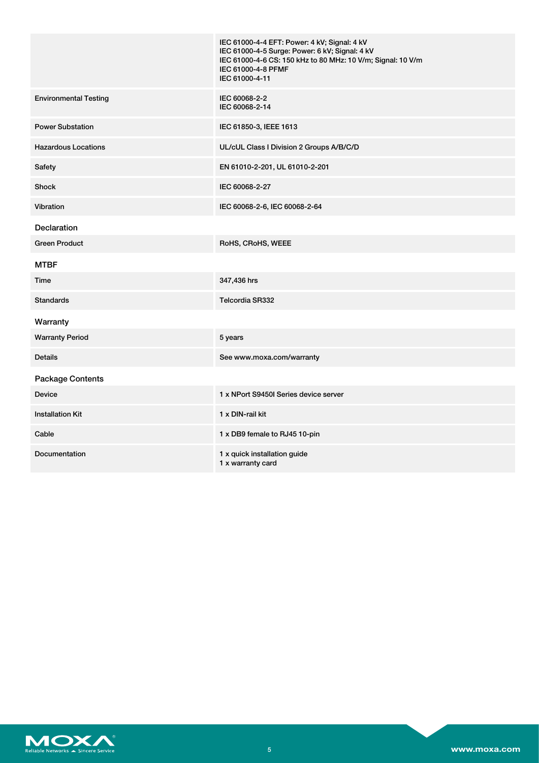|                              | IEC 61000-4-4 EFT: Power: 4 kV; Signal: 4 kV<br>IEC 61000-4-5 Surge: Power: 6 kV; Signal: 4 kV<br>IEC 61000-4-6 CS: 150 kHz to 80 MHz: 10 V/m; Signal: 10 V/m<br>IEC 61000-4-8 PFMF<br>IEC 61000-4-11 |
|------------------------------|-------------------------------------------------------------------------------------------------------------------------------------------------------------------------------------------------------|
| <b>Environmental Testing</b> | IEC 60068-2-2<br>IEC 60068-2-14                                                                                                                                                                       |
| <b>Power Substation</b>      | IEC 61850-3, IEEE 1613                                                                                                                                                                                |
| <b>Hazardous Locations</b>   | UL/cUL Class I Division 2 Groups A/B/C/D                                                                                                                                                              |
| Safety                       | EN 61010-2-201, UL 61010-2-201                                                                                                                                                                        |
| <b>Shock</b>                 | IEC 60068-2-27                                                                                                                                                                                        |
| Vibration                    | IEC 60068-2-6, IEC 60068-2-64                                                                                                                                                                         |
| <b>Declaration</b>           |                                                                                                                                                                                                       |
| <b>Green Product</b>         | RoHS, CRoHS, WEEE                                                                                                                                                                                     |
| <b>MTBF</b>                  |                                                                                                                                                                                                       |
| Time                         | 347,436 hrs                                                                                                                                                                                           |
| <b>Standards</b>             | Telcordia SR332                                                                                                                                                                                       |
| Warranty                     |                                                                                                                                                                                                       |
| <b>Warranty Period</b>       | 5 years                                                                                                                                                                                               |
| <b>Details</b>               | See www.moxa.com/warranty                                                                                                                                                                             |
| Package Contents             |                                                                                                                                                                                                       |
| <b>Device</b>                | 1 x NPort S9450I Series device server                                                                                                                                                                 |
| <b>Installation Kit</b>      | 1 x DIN-rail kit                                                                                                                                                                                      |
| Cable                        | 1 x DB9 female to RJ45 10-pin                                                                                                                                                                         |
| Documentation                | 1 x quick installation guide<br>1 x warranty card                                                                                                                                                     |

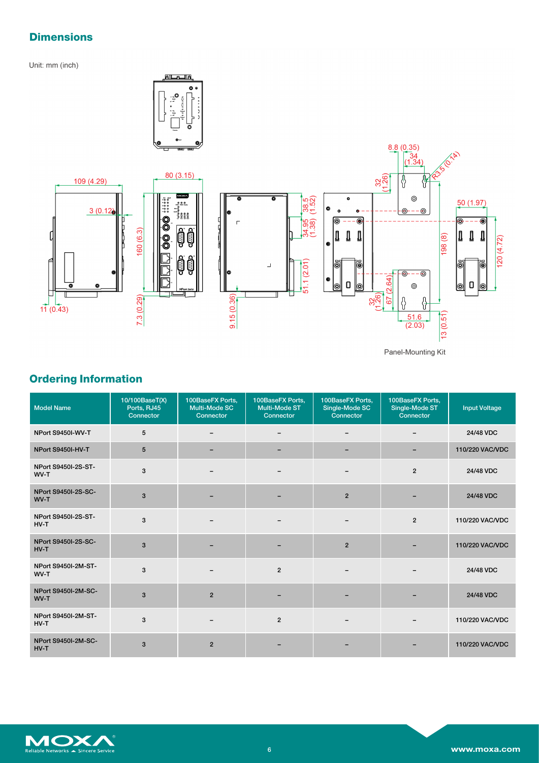# **Dimensions**

Unit: mm (inch)

ſ



Panel-Mounting Kit

6

 $\mathbf{I}$ 

ĕ

10

 $120(4.72)$ 

# **Ordering Information**

| <b>Model Name</b>                    | 10/100BaseT(X)<br>Ports, RJ45<br>Connector | 100BaseFX Ports,<br><b>Multi-Mode SC</b><br>Connector | 100BaseFX Ports,<br><b>Multi-Mode ST</b><br>Connector | 100BaseFX Ports,<br>Single-Mode SC<br>Connector | 100BaseFX Ports,<br>Single-Mode ST<br>Connector | <b>Input Voltage</b> |
|--------------------------------------|--------------------------------------------|-------------------------------------------------------|-------------------------------------------------------|-------------------------------------------------|-------------------------------------------------|----------------------|
| NPort S9450I-WV-T                    | 5                                          |                                                       |                                                       |                                                 |                                                 | 24/48 VDC            |
| NPort S9450I-HV-T                    | 5                                          |                                                       |                                                       |                                                 |                                                 | 110/220 VAC/VDC      |
| NPort S9450I-2S-ST-<br>WV-T          | 3                                          |                                                       |                                                       |                                                 | $\overline{2}$                                  | 24/48 VDC            |
| NPort S9450I-2S-SC-<br>WV-T          | 3                                          |                                                       |                                                       | $\overline{2}$                                  |                                                 | 24/48 VDC            |
| NPort S9450I-2S-ST-<br>$HV-T$        | 3                                          |                                                       |                                                       |                                                 | $\overline{2}$                                  | 110/220 VAC/VDC      |
| NPort S9450I-2S-SC-<br>$HV-T$        | 3                                          |                                                       |                                                       | $\overline{2}$                                  |                                                 | 110/220 VAC/VDC      |
| <b>NPort S9450I-2M-ST-</b><br>WV-T   | 3                                          |                                                       | $\overline{2}$                                        |                                                 |                                                 | 24/48 VDC            |
| NPort S9450I-2M-SC-<br>WV-T          | 3                                          | $\overline{2}$                                        | $\overline{\phantom{0}}$                              |                                                 |                                                 | 24/48 VDC            |
| <b>NPort S9450I-2M-ST-</b><br>$HV-T$ | 3                                          |                                                       | $\overline{2}$                                        |                                                 |                                                 | 110/220 VAC/VDC      |
| NPort S9450I-2M-SC-<br>$HV-T$        | 3                                          | $\overline{2}$                                        |                                                       |                                                 |                                                 | 110/220 VAC/VDC      |